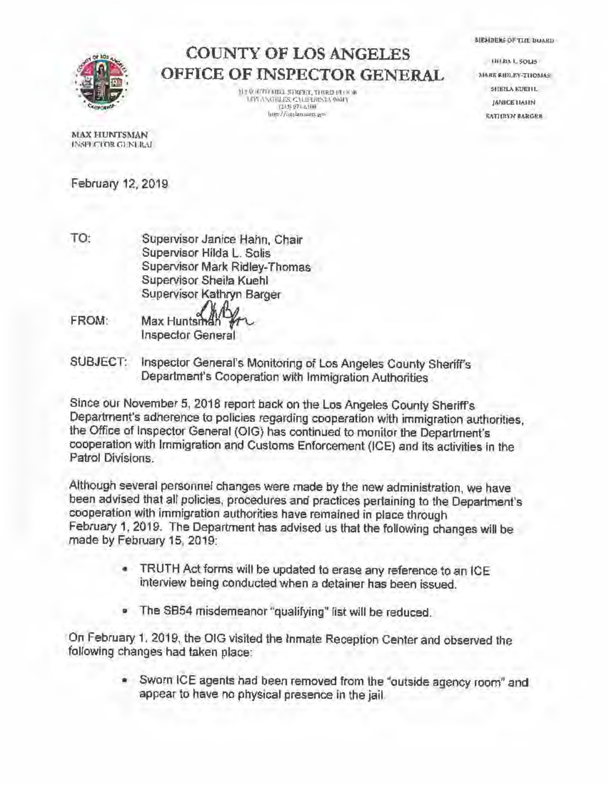## **COUNTY OF LOS ANGELES OFFICE OF INSPECTOR GENERAL**

**JI.! !.<>l!MI IIIIJ.SllUm"I'. '(1UP.O FI.C)C)P. 1.0~, \SGl:JJ:S .. C.\1.ll'OIL'l,\** 911111 \ **(2U) :>7,1,GUllt**   $\frac{1}{2}$  **lmp://intslammer.gov** 

**mu**, sous **M!\ltl\ P.11>1,F.'t' ·TIIOM,1.S S116lL\ .. 1'1!11L JANICE IIAJIN AATIU\W BARGER** 

MEMORIAS OF THE BUARD.

MAX HUNTSMAN **IN~l1ECfOR C.l~'KElt.\l. ..** 

February 12, 2019

- TO: Supervisor Janice Hahn, Chair Supervisor Hilda L. Solis Supervisor Mark Ridley-Thomas Supervisor Sheila Kuehl Supervisor Kathryn Barger
- FROM: Max Huntsr Inspector General
- SUBJECT: Inspector General's Monitoring of Los Angeles County Sheriff's Department's Cooperation with Immigration Authorities

Since our November 5, 2018 report back on the Los Angeles County Sheriffs Department's adherence to policies regarding cooperation with immigration authorities, the Office of Inspector General (OIG} has continued to monitor the Department's cooperation with Immigration and Customs Enforcement (ICE) and its activities in the Patrol Divisions.

Although several personnel changes were made by the new administration, we have been advised that all policies. procedures and practices pertaining to the Department's cooperation with immigration authorities have remained in place through February 1, 2019. The Department has advised us that the following changes will be made by February 15. 2019:

- TRUTH Act forms will be updated to erase any reference to an ICE interview being conducted when a detainer has been issued.
- The SB54 misdemeanor "qualifying" list will be reduced.

On February 1. 2019, the OIG visited the Inmate Reception Center and observed the following changes had taken place:

> • Sworn ICE agents had been removed from the "outside agency room" and appear to have no physical presence in the jail.

 $\sqrt{2N}$ **<sup>t</sup> , • ell <sup>I</sup>** . . . . **"~11'19'!"°.**